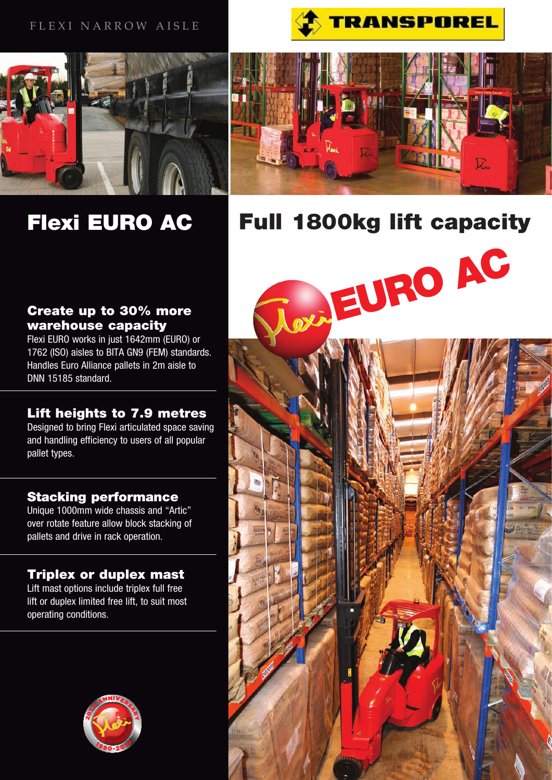# FLEXI NARROW AISLE



# Flexi EURO AC





Full 1800kg lift capacity

OVA EURO AC

# Create up to 30% more warehouse capacity

Flexi EURO works in just 1642mm (EURO) or 1762 (ISO) aisles to BITA GN9 (FEM) standards. Handles Euro Alliance pallets in 2m aisle to DNN 15185 standard.

# Lift heights to 7.9 metres

Designed to bring Flexi articulated space saving and handling efficiency to users of all popular pallet types.

# Stacking performance

Unique 1000mm wide chassis and "Artic" over rotate feature allow block stacking of pallets and drive in rack operation.

# Triplex or duplex mast

Lift mast options include triplex full free lift or duplex limited free lift, to suit most operating conditions.